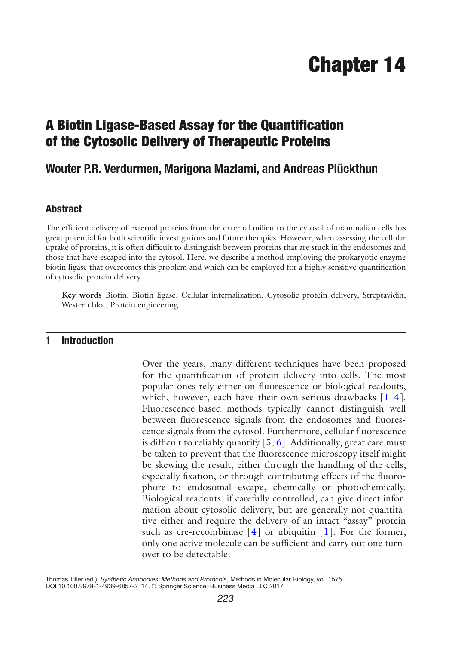# Chapter 14

## A Biotin Ligase-Based Assay for the Quantification of the Cytosolic Delivery of Therapeutic Proteins

### **Wouter P.R. Verdurmen, Marigona Mazlami, and Andreas Plückthun**

#### **Abstract**

The efficient delivery of external proteins from the external milieu to the cytosol of mammalian cells has great potential for both scientific investigations and future therapies. However, when assessing the cellular uptake of proteins, it is often difficult to distinguish between proteins that are stuck in the endosomes and those that have escaped into the cytosol. Here, we describe a method employing the prokaryotic enzyme biotin ligase that overcomes this problem and which can be employed for a highly sensitive quantification of cytosolic protein delivery.

**Key words** Biotin, Biotin ligase, Cellular internalization, Cytosolic protein delivery, Streptavidin, Western blot, Protein engineering

#### **1 Introduction**

Over the years, many different techniques have been proposed for the quantification of protein delivery into cells. The most popular ones rely either on fluorescence or biological readouts, which, however, each have their own serious drawbacks  $[1-4]$  $[1-4]$  $[1-4]$ . Fluorescence-based methods typically cannot distinguish well between fluorescence signals from the endosomes and fluorescence signals from the cytosol. Furthermore, cellular fluorescence is difficult to reliably quantify  $[5, 6]$  $[5, 6]$  $[5, 6]$ . Additionally, great care must be taken to prevent that the fluorescence microscopy itself might be skewing the result, either through the handling of the cells, especially fixation, or through contributing effects of the fluorophore to endosomal escape, chemically or photochemically. Biological readouts, if carefully controlled, can give direct information about cytosolic delivery, but are generally not quantitative either and require the delivery of an intact "assay" protein such as cre-recombinase  $[4]$  $[4]$  or ubiquitin  $[1]$  $[1]$ . For the former, only one active molecule can be sufficient and carry out one turnover to be detectable.

Thomas Tiller (ed.), *Synthetic Antibodies: Methods and Protocols*, Methods in Molecular Biology, vol. 1575, DOI 10.1007/978-1-4939-6857-2\_14, © Springer Science+Business Media LLC 2017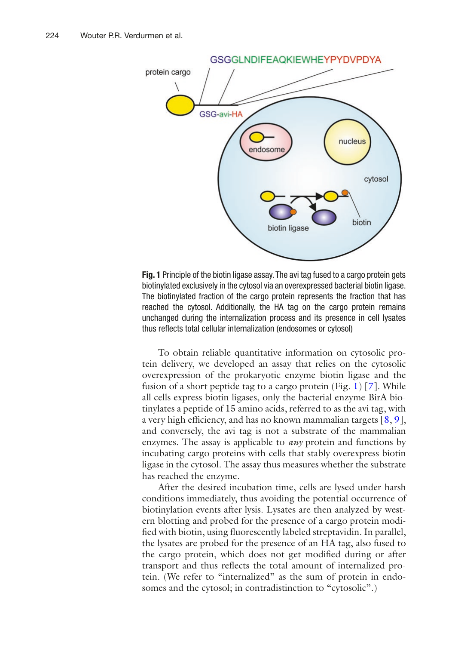<span id="page-1-0"></span>

**Fig. 1** Principle of the biotin ligase assay. The avi tag fused to a cargo protein gets biotinylated exclusively in the cytosol via an overexpressed bacterial biotin ligase. The biotinylated fraction of the cargo protein represents the fraction that has reached the cytosol. Additionally, the HA tag on the cargo protein remains unchanged during the internalization process and its presence in cell lysates thus reflects total cellular internalization (endosomes or cytosol)

To obtain reliable quantitative information on cytosolic protein delivery, we developed an assay that relies on the cytosolic overexpression of the prokaryotic enzyme biotin ligase and the fusion of a short peptide tag to a cargo protein (Fig. [1](#page-1-0)) [[7](#page-13-4)]. While all cells express biotin ligases, only the bacterial enzyme BirA biotinylates a peptide of 15 amino acids, referred to as the avi tag, with a very high efficiency, and has no known mammalian targets  $[8, 9]$  $[8, 9]$  $[8, 9]$  $[8, 9]$ , and conversely, the avi tag is not a substrate of the mammalian enzymes. The assay is applicable to *any* protein and functions by incubating cargo proteins with cells that stably overexpress biotin ligase in the cytosol. The assay thus measures whether the substrate has reached the enzyme.

After the desired incubation time, cells are lysed under harsh conditions immediately, thus avoiding the potential occurrence of biotinylation events after lysis. Lysates are then analyzed by western blotting and probed for the presence of a cargo protein modified with biotin, using fluorescently labeled streptavidin. In parallel, the lysates are probed for the presence of an HA tag, also fused to the cargo protein, which does not get modified during or after transport and thus reflects the total amount of internalized protein. (We refer to "internalized" as the sum of protein in endosomes and the cytosol; in contradistinction to "cytosolic".)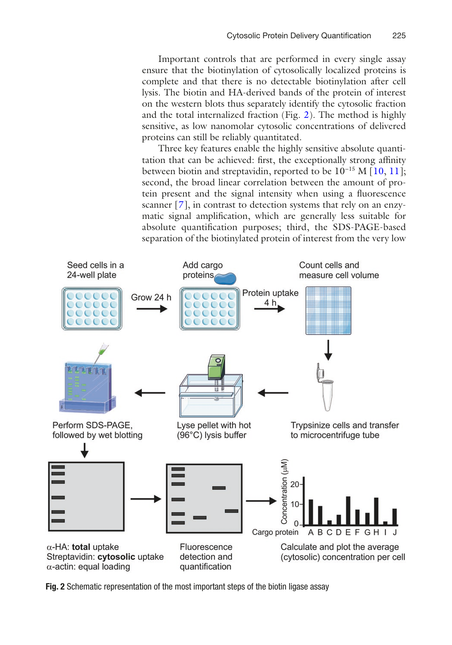Important controls that are performed in every single assay ensure that the biotinylation of cytosolically localized proteins is complete and that there is no detectable biotinylation after cell lysis. The biotin and HA-derived bands of the protein of interest on the western blots thus separately identify the cytosolic fraction and the total internalized fraction (Fig. [2](#page-2-0)). The method is highly sensitive, as low nanomolar cytosolic concentrations of delivered proteins can still be reliably quantitated.

Three key features enable the highly sensitive absolute quantitation that can be achieved: first, the exceptionally strong affinity between biotin and streptavidin, reported to be 10−15 M [[10,](#page-13-7) [11](#page-13-8)]; second, the broad linear correlation between the amount of protein present and the signal intensity when using a fluorescence scanner [\[7](#page-13-4)], in contrast to detection systems that rely on an enzymatic signal amplification, which are generally less suitable for absolute quantification purposes; third, the SDS-PAGE-based separation of the biotinylated protein of interest from the very low

<span id="page-2-0"></span>

**Fig. 2** Schematic representation of the most important steps of the biotin ligase assay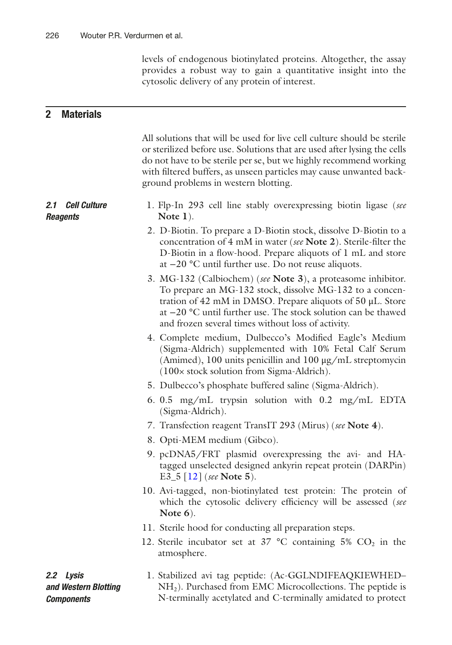levels of endogenous biotinylated proteins. Altogether, the assay provides a robust way to gain a quantitative insight into the cytosolic delivery of any protein of interest.

#### **2 Materials**

All solutions that will be used for live cell culture should be sterile or sterilized before use. Solutions that are used after lysing the cells do not have to be sterile per se, but we highly recommend working with filtered buffers, as unseen particles may cause unwanted background problems in western blotting.

- 1. Flp-In 293 cell line stably overexpressing biotin ligase (*see* **Note 1**). *2.1 Cell Culture Reagents*
	- 2. D-Biotin. To prepare a D-Biotin stock, dissolve D-Biotin to a concentration of 4 mM in water (*see* **Note 2**). Sterile-filter the D-Biotin in a flow-hood. Prepare aliquots of 1 mL and store at −20 **°**C until further use. Do not reuse aliquots.
	- 3. MG-132 (Calbiochem) (*see* **Note 3**), a proteasome inhibitor. To prepare an MG-132 stock, dissolve MG-132 to a concentration of 42 mM in DMSO. Prepare aliquots of 50 μL. Store at −20 **°**C until further use. The stock solution can be thawed and frozen several times without loss of activity.
	- 4. Complete medium, Dulbecco's Modified Eagle's Medium (Sigma-Aldrich) supplemented with 10% Fetal Calf Serum (Amimed), 100 units penicillin and 100 μg/mL streptomycin (100× stock solution from Sigma-Aldrich).
	- 5. Dulbecco's phosphate buffered saline (Sigma-Aldrich).
	- 6. 0.5 mg/mL trypsin solution with 0.2 mg/mL EDTA (Sigma-Aldrich).
	- 7. Transfection reagent TransIT 293 (Mirus) (*see* **Note 4**).
	- 8. Opti-MEM medium (Gibco).
	- 9. pcDNA5/FRT plasmid overexpressing the avi- and HAtagged unselected designed ankyrin repeat protein (DARPin) E3\_5 [[12](#page-13-9)] (*see* **Note 5**).
	- 10. Avi-tagged, non-biotinylated test protein: The protein of which the cytosolic delivery efficiency will be assessed (*see* **Note 6**).
	- 11. Sterile hood for conducting all preparation steps.
	- 12. Sterile incubator set at  $37 \text{ °C}$  containing  $5\%$  CO<sub>2</sub> in the atmosphere.

*2.2 Lysis and Western Blotting Components*

1. Stabilized avi tag peptide: (Ac-GGLNDIFEAQKIEWHED– NH2). Purchased from EMC Microcollections. The peptide is N-terminally acetylated and C-terminally amidated to protect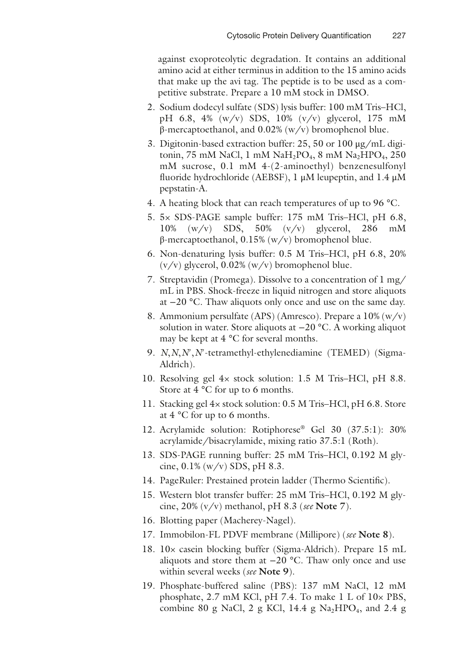against exoproteolytic degradation. It contains an additional amino acid at either terminus in addition to the 15 amino acids that make up the avi tag. The peptide is to be used as a competitive substrate. Prepare a 10 mM stock in DMSO.

- 2. Sodium dodecyl sulfate (SDS) lysis buffer: 100 mM Tris–HCl, pH 6.8, 4% (w/v) SDS, 10% (v/v) glycerol, 175 mM β-mercaptoethanol, and  $0.02%$  (w/v) bromophenol blue.
- 3. Digitonin-based extraction buffer: 25, 50 or 100 μg/mL digitonin, 75 mM NaCl, 1 mM Na $H_2PO_4$ , 8 mM Na<sub>2</sub>HPO<sub>4</sub>, 250 mM sucrose, 0.1 mM 4-(2-aminoethyl) benzenesulfonyl fluoride hydrochloride (AEBSF), 1 μM leupeptin, and 1.4 μM pepstatin-A.
- 4. A heating block that can reach temperatures of up to 96 **°**C.
- 5. 5× SDS-PAGE sample buffer: 175 mM Tris–HCl, pH 6.8, 10% (w/v) SDS, 50% (v/v) glycerol, 286 mM β-mercaptoethanol, 0.15% (w/v) bromophenol blue.
- 6. Non-denaturing lysis buffer: 0.5 M Tris–HCl, pH 6.8, 20%  $(v/v)$  glycerol, 0.02%  $(w/v)$  bromophenol blue.
- 7. Streptavidin (Promega). Dissolve to a concentration of 1 mg/ mL in PBS. Shock-freeze in liquid nitrogen and store aliquots at −20 **°**C. Thaw aliquots only once and use on the same day.
- 8. Ammonium persulfate (APS) (Amresco). Prepare a 10% (w/v) solution in water. Store aliquots at −20 **°**C. A working aliquot may be kept at 4 **°**C for several months.
- 9. *N*,*N*,*N*′,*N*′-tetramethyl-ethylenediamine (TEMED) (Sigma-Aldrich).
- 10. Resolving gel 4× stock solution: 1.5 M Tris–HCl, pH 8.8. Store at 4 **°**C for up to 6 months.
- 11. Stacking gel 4× stock solution: 0.5 M Tris–HCl, pH 6.8. Store at 4 **°**C for up to 6 months.
- 12. Acrylamide solution: Rotiphorese® Gel 30 (37.5:1): 30% acrylamide/bisacrylamide, mixing ratio 37.5:1 (Roth).
- 13. SDS-PAGE running buffer: 25 mM Tris–HCl, 0.192 M glycine,  $0.1\%$  (w/v) SDS, pH 8.3.
- 14. PageRuler: Prestained protein ladder (Thermo Scientific).
- 15. Western blot transfer buffer: 25 mM Tris–HCl, 0.192 M glycine, 20% (v/v) methanol, pH 8.3 (*see* **Note 7**).
- 16. Blotting paper (Macherey-Nagel).
- 17. Immobilon-FL PDVF membrane (Millipore) (*see* **Note 8**).
- 18. 10× casein blocking buffer (Sigma-Aldrich). Prepare 15 mL aliquots and store them at −20 **°**C. Thaw only once and use within several weeks (*see* **Note 9**).
- 19. Phosphate-buffered saline (PBS): 137 mM NaCl, 12 mM phosphate, 2.7 mM KCl, pH 7.4. To make 1 L of 10× PBS, combine 80 g NaCl, 2 g KCl, 14.4 g Na<sub>2</sub>HPO<sub>4</sub>, and 2.4 g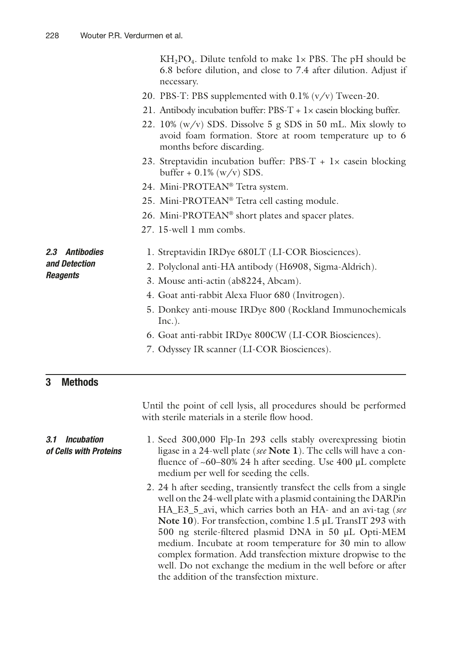$KH_2PO_4$ . Dilute tenfold to make  $1 \times PBS$ . The pH should be 6.8 before dilution, and close to 7.4 after dilution. Adjust if necessary.

- 20. PBS-T: PBS supplemented with 0.1% (v/v) Tween-20.
- 21. Antibody incubation buffer:  $\text{PBS-T} + 1 \times \text{case}$  blocking buffer.
- 22. 10% (w/v) SDS. Dissolve 5 g SDS in 50 mL. Mix slowly to avoid foam formation. Store at room temperature up to 6 months before discarding.
- 23. Streptavidin incubation buffer: PBS-T +  $1 \times$  casein blocking buffer +  $0.1\%$  (w/v) SDS.
- 24. Mini-PROTEAN® Tetra system.
- 25. Mini-PROTEAN® Tetra cell casting module.
- 26. Mini-PROTEAN® short plates and spacer plates.
- 27. 15-well 1 mm combs.

#### *2.3 Antibodies and Detection Reagents*

- 1. Streptavidin IRDye 680LT (LI-COR Biosciences).
- 2. Polyclonal anti-HA antibody (H6908, Sigma-Aldrich).
- 3. Mouse anti-actin (ab8224, Abcam).
- 4. Goat anti-rabbit Alexa Fluor 680 (Invitrogen).
- 5. Donkey anti-mouse IRDye 800 (Rockland Immunochemicals Inc.).
- 6. Goat anti-rabbit IRDye 800CW (LI-COR Biosciences).
- 7. Odyssey IR scanner (LI-COR Biosciences).

#### **3 Methods**

*3.1 Incubation of Cells with Proteins*

Until the point of cell lysis, all procedures should be performed with sterile materials in a sterile flow hood.

- 1. Seed 300,000 Flp-In 293 cells stably overexpressing biotin ligase in a 24-well plate (*see* **Note 1**). The cells will have a confluence of  $~60-80\%$  24 h after seeding. Use 400  $\mu$ L complete medium per well for seeding the cells.
	- 2. 24 h after seeding, transiently transfect the cells from a single well on the 24-well plate with a plasmid containing the DARPin HA\_E3\_5\_avi, which carries both an HA- and an avi-tag (*see* **Note 10**). For transfection, combine 1.5 μL TransIT 293 with 500 ng sterile-filtered plasmid DNA in 50 μL Opti-MEM medium. Incubate at room temperature for 30 min to allow complex formation. Add transfection mixture dropwise to the well. Do not exchange the medium in the well before or after the addition of the transfection mixture.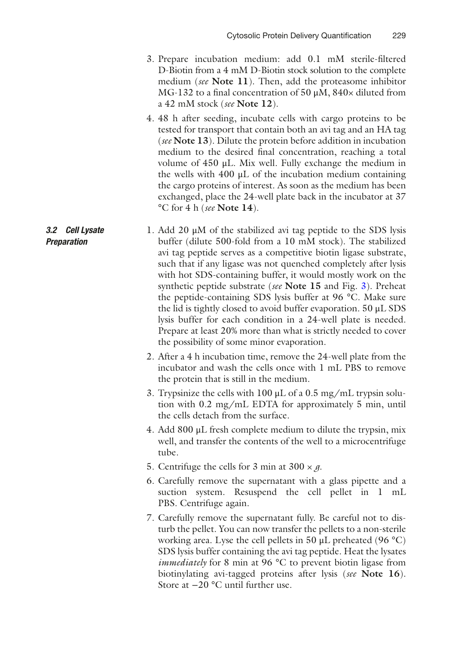- 3. Prepare incubation medium: add 0.1 mM sterile-filtered D-Biotin from a 4 mM D-Biotin stock solution to the complete medium (*see* **Note 11**). Then, add the proteasome inhibitor MG-132 to a final concentration of 50 μM, 840× diluted from a 42 mM stock (*see* **Note 12**).
- 4. 48 h after seeding, incubate cells with cargo proteins to be tested for transport that contain both an avi tag and an HA tag (*see* **Note 13**). Dilute the protein before addition in incubation medium to the desired final concentration, reaching a total volume of 450 μL. Mix well. Fully exchange the medium in the wells with  $400 \mu L$  of the incubation medium containing the cargo proteins of interest. As soon as the medium has been exchanged, place the 24-well plate back in the incubator at 37 **°**C for 4 h (*see* **Note 14**).
- 1. Add 20 μM of the stabilized avi tag peptide to the SDS lysis buffer (dilute 500-fold from a 10 mM stock). The stabilized avi tag peptide serves as a competitive biotin ligase substrate, such that if any ligase was not quenched completely after lysis with hot SDS-containing buffer, it would mostly work on the synthetic peptide substrate (*see* **Note 15** and Fig. [3](#page-7-0)). Preheat the peptide-containing SDS lysis buffer at 96 **°**C. Make sure the lid is tightly closed to avoid buffer evaporation. 50 μL SDS lysis buffer for each condition in a 24-well plate is needed. Prepare at least 20% more than what is strictly needed to cover the possibility of some minor evaporation. *3.2 Cell Lysate Preparation*
	- 2. After a 4 h incubation time, remove the 24-well plate from the incubator and wash the cells once with 1 mL PBS to remove the protein that is still in the medium.
	- 3. Trypsinize the cells with 100 μL of a 0.5 mg/mL trypsin solution with 0.2 mg/mL EDTA for approximately 5 min, until the cells detach from the surface.
	- 4. Add 800 μL fresh complete medium to dilute the trypsin, mix well, and transfer the contents of the well to a microcentrifuge tube.
	- 5. Centrifuge the cells for 3 min at  $300 \times g$ .
	- 6. Carefully remove the supernatant with a glass pipette and a suction system. Resuspend the cell pellet in 1 mL PBS. Centrifuge again.
	- 7. Carefully remove the supernatant fully. Be careful not to disturb the pellet. You can now transfer the pellets to a non-sterile working area. Lyse the cell pellets in 50 μL preheated (96 **°**C) SDS lysis buffer containing the avi tag peptide. Heat the lysates *immediately* for 8 min at 96 **°**C to prevent biotin ligase from biotinylating avi-tagged proteins after lysis (*see* **Note 16**). Store at −20 **°**C until further use.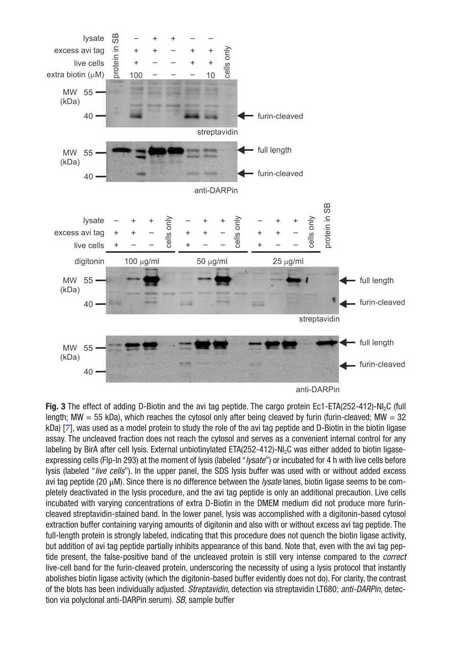<span id="page-7-0"></span>

**Fig. 3** The effect of adding D-Biotin and the avi tag peptide. The cargo protein Ec1-ETA(252-412)-NI2C (full length; MW  $=$  55 kDa), which reaches the cytosol only after being cleaved by furin (furin-cleaved; MW  $=$  32 kDa) [[7](#page-13-4)], was used as a model protein to study the role of the avi tag peptide and D-Biotin in the biotin ligase assay. The uncleaved fraction does not reach the cytosol and serves as a convenient internal control for any labeling by BirA after cell lysis. External unbiotinylated ETA(252-412)-NI<sub>2</sub>C was either added to biotin ligaseexpressing cells (Flp-In 293) at the moment of lysis (labeled "*lysate*") or incubated for 4 h with live cells before lysis (labeled "*live cells*"). In the upper panel, the SDS lysis buffer was used with or without added excess avi tag peptide (20 μM). Since there is no difference between the *lysate* lanes, biotin ligase seems to be completely deactivated in the lysis procedure, and the avi tag peptide is only an additional precaution. Live cells incubated with varying concentrations of extra D-Biotin in the DMEM medium did not produce more furincleaved streptavidin-stained band. In the lower panel, lysis was accomplished with a digitonin-based cytosol extraction buffer containing varying amounts of digitonin and also with or without excess avi tag peptide. The full-length protein is strongly labeled, indicating that this procedure does not quench the biotin ligase activity, but addition of avi tag peptide partially inhibits appearance of this band. Note that, even with the avi tag peptide present, the false-positive band of the uncleaved protein is still very intense compared to the *correct* live-cell band for the furin-cleaved protein, underscoring the necessity of using a lysis protocol that instantly abolishes biotin ligase activity (which the digitonin-based buffer evidently does not do). For clarity, the contrast of the blots has been individually adjusted. *Streptavidin*, detection via streptavidin LT680; *anti-DARPin*, detection via polyclonal anti-DARPin serum). *SB*, sample buffer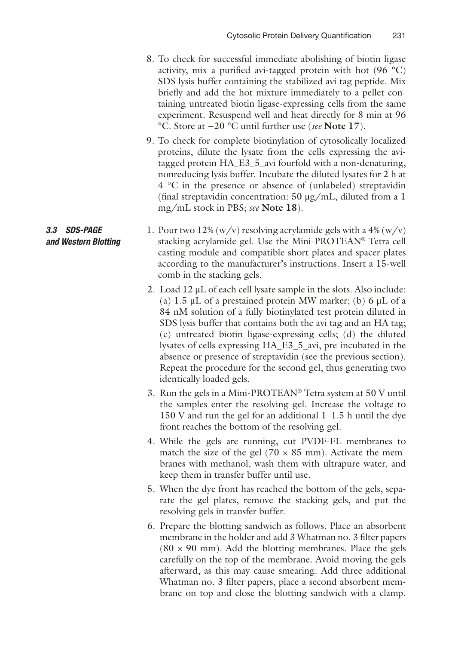- 8. To check for successful immediate abolishing of biotin ligase activity, mix a purified avi-tagged protein with hot (96 **°**C) SDS lysis buffer containing the stabilized avi tag peptide. Mix briefly and add the hot mixture immediately to a pellet containing untreated biotin ligase-expressing cells from the same experiment. Resuspend well and heat directly for 8 min at 96 **°**C. Store at −20 **°**C until further use (*see* **Note 17**).
- 9. To check for complete biotinylation of cytosolically localized proteins, dilute the lysate from the cells expressing the avitagged protein HA\_E3\_5\_avi fourfold with a non-denaturing, nonreducing lysis buffer. Incubate the diluted lysates for 2 h at 4 °C in the presence or absence of (unlabeled) streptavidin (final streptavidin concentration: 50 μg/mL, diluted from a 1 mg/mL stock in PBS; *see* **Note 18**).
- 1. Pour two 12%  $(w/v)$  resolving acrylamide gels with a 4%  $(w/v)$ stacking acrylamide gel. Use the Mini-PROTEAN® Tetra cell casting module and compatible short plates and spacer plates according to the manufacturer's instructions. Insert a 15-well comb in the stacking gels. *3.3 SDS-PAGE and Western Blotting*
	- 2. Load 12 μL of each cell lysate sample in the slots. Also include: (a)  $1.5 \mu L$  of a prestained protein MW marker; (b) 6  $\mu L$  of a 84 nM solution of a fully biotinylated test protein diluted in SDS lysis buffer that contains both the avi tag and an HA tag; (c) untreated biotin ligase-expressing cells; (d) the diluted lysates of cells expressing HA\_E3\_5\_avi, pre-incubated in the absence or presence of streptavidin (see the previous section). Repeat the procedure for the second gel, thus generating two identically loaded gels.
	- 3. Run the gels in a Mini-PROTEAN® Tetra system at 50 V until the samples enter the resolving gel. Increase the voltage to 150 V and run the gel for an additional 1–1.5 h until the dye front reaches the bottom of the resolving gel.
	- 4. While the gels are running, cut PVDF-FL membranes to match the size of the gel ( $70 \times 85$  mm). Activate the membranes with methanol, wash them with ultrapure water, and keep them in transfer buffer until use.
	- 5. When the dye front has reached the bottom of the gels, separate the gel plates, remove the stacking gels, and put the resolving gels in transfer buffer.
	- 6. Prepare the blotting sandwich as follows. Place an absorbent membrane in the holder and add 3 Whatman no. 3 filter papers  $(80 \times 90 \text{ mm})$ . Add the blotting membranes. Place the gels carefully on the top of the membrane. Avoid moving the gels afterward, as this may cause smearing. Add three additional Whatman no. 3 filter papers, place a second absorbent membrane on top and close the blotting sandwich with a clamp.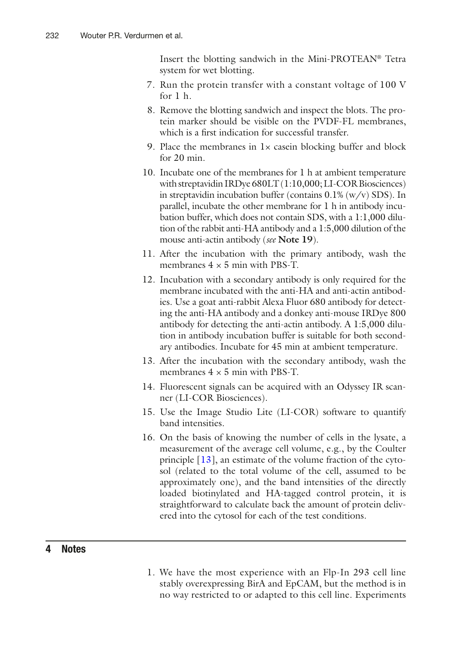Insert the blotting sandwich in the Mini-PROTEAN® Tetra system for wet blotting.

- 7. Run the protein transfer with a constant voltage of 100 V for 1 h.
- 8. Remove the blotting sandwich and inspect the blots. The protein marker should be visible on the PVDF-FL membranes, which is a first indication for successful transfer.
- 9. Place the membranes in  $1 \times$  casein blocking buffer and block for 20 min.
- 10. Incubate one of the membranes for 1 h at ambient temperature with streptavidin IRDye 680LT (1:10,000; LI-COR Biosciences) in streptavidin incubation buffer (contains  $0.1\%$  (w/v) SDS). In parallel, incubate the other membrane for 1 h in antibody incubation buffer, which does not contain SDS, with a 1:1,000 dilution of the rabbit anti-HA antibody and a 1:5,000 dilution of the mouse anti-actin antibody (*see* **Note 19**).
- 11. After the incubation with the primary antibody, wash the membranes  $4 \times 5$  min with PBS-T.
- 12. Incubation with a secondary antibody is only required for the membrane incubated with the anti-HA and anti-actin antibodies. Use a goat anti-rabbit Alexa Fluor 680 antibody for detecting the anti-HA antibody and a donkey anti-mouse IRDye 800 antibody for detecting the anti-actin antibody. A 1:5,000 dilution in antibody incubation buffer is suitable for both secondary antibodies. Incubate for 45 min at ambient temperature.
- 13. After the incubation with the secondary antibody, wash the membranes  $4 \times 5$  min with PBS-T.
- 14. Fluorescent signals can be acquired with an Odyssey IR scanner (LI-COR Biosciences).
- 15. Use the Image Studio Lite (LI-COR) software to quantify band intensities.
- 16. On the basis of knowing the number of cells in the lysate, a measurement of the average cell volume, e.g., by the Coulter principle [\[13](#page-13-10)], an estimate of the volume fraction of the cytosol (related to the total volume of the cell, assumed to be approximately one), and the band intensities of the directly loaded biotinylated and HA-tagged control protein, it is straightforward to calculate back the amount of protein delivered into the cytosol for each of the test conditions.

#### **4 Notes**

1. We have the most experience with an Flp-In 293 cell line stably overexpressing BirA and EpCAM, but the method is in no way restricted to or adapted to this cell line. Experiments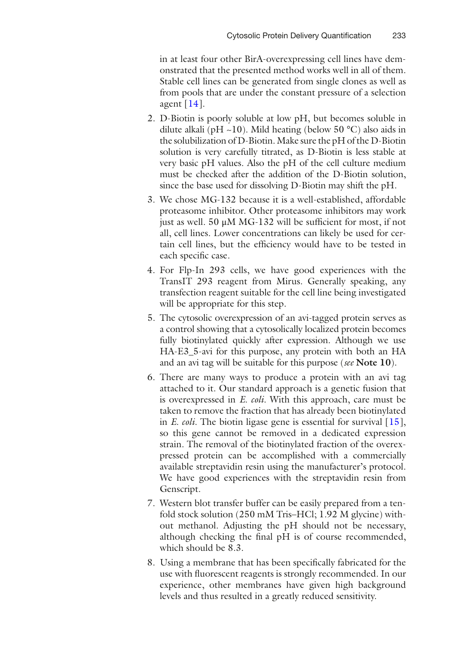in at least four other BirA-overexpressing cell lines have demonstrated that the presented method works well in all of them. Stable cell lines can be generated from single clones as well as from pools that are under the constant pressure of a selection agent  $[14]$ .

- 2. D-Biotin is poorly soluble at low pH, but becomes soluble in dilute alkali (pH ~10). Mild heating (below 50 **°**C) also aids in the solubilization of D-Biotin. Make sure the pH of the D-Biotin solution is very carefully titrated, as D-Biotin is less stable at very basic pH values. Also the pH of the cell culture medium must be checked after the addition of the D-Biotin solution, since the base used for dissolving D-Biotin may shift the pH.
- 3. We chose MG-132 because it is a well-established, affordable proteasome inhibitor. Other proteasome inhibitors may work just as well. 50 μM MG-132 will be sufficient for most, if not all, cell lines. Lower concentrations can likely be used for certain cell lines, but the efficiency would have to be tested in each specific case.
- 4. For Flp-In 293 cells, we have good experiences with the TransIT 293 reagent from Mirus. Generally speaking, any transfection reagent suitable for the cell line being investigated will be appropriate for this step.
- 5. The cytosolic overexpression of an avi-tagged protein serves as a control showing that a cytosolically localized protein becomes fully biotinylated quickly after expression. Although we use HA-E3\_5-avi for this purpose, any protein with both an HA and an avi tag will be suitable for this purpose (*see* **Note 10**).
- 6. There are many ways to produce a protein with an avi tag attached to it. Our standard approach is a genetic fusion that is overexpressed in *E. coli*. With this approach, care must be taken to remove the fraction that has already been biotinylated in *E. coli*. The biotin ligase gene is essential for survival [[15](#page-13-12)], so this gene cannot be removed in a dedicated expression strain. The removal of the biotinylated fraction of the overexpressed protein can be accomplished with a commercially available streptavidin resin using the manufacturer's protocol. We have good experiences with the streptavidin resin from Genscript.
- 7. Western blot transfer buffer can be easily prepared from a tenfold stock solution (250 mM Tris–HCl; 1.92 M glycine) without methanol. Adjusting the pH should not be necessary, although checking the final pH is of course recommended, which should be 8.3.
- 8. Using a membrane that has been specifically fabricated for the use with fluorescent reagents is strongly recommended. In our experience, other membranes have given high background levels and thus resulted in a greatly reduced sensitivity.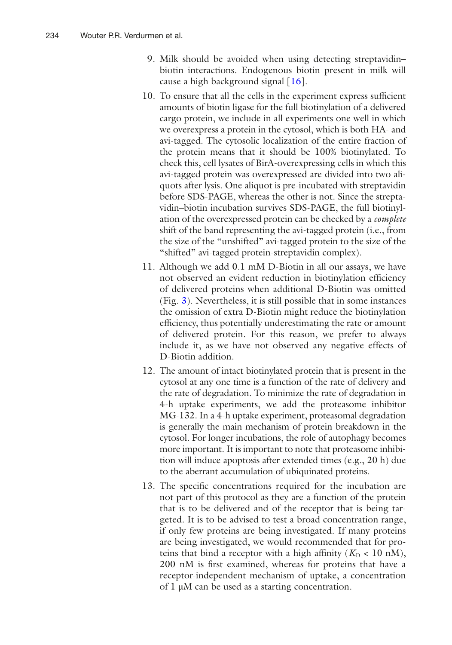- 9. Milk should be avoided when using detecting streptavidin– biotin interactions. Endogenous biotin present in milk will cause a high background signal  $[16]$  $[16]$  $[16]$ .
- 10. To ensure that all the cells in the experiment express sufficient amounts of biotin ligase for the full biotinylation of a delivered cargo protein, we include in all experiments one well in which we overexpress a protein in the cytosol, which is both HA- and avi-tagged. The cytosolic localization of the entire fraction of the protein means that it should be 100% biotinylated. To check this, cell lysates of BirA-overexpressing cells in which this avi-tagged protein was overexpressed are divided into two ali quots after lysis. One aliquot is pre-incubated with streptavidin before SDS-PAGE, whereas the other is not. Since the strepta vidin–biotin incubation survives SDS-PAGE, the full biotinyl ation of the overexpressed protein can be checked by a *complete* shift of the band representing the avi-tagged protein (i.e., from the size of the "unshifted" avi-tagged protein to the size of the "shifted" avi-tagged protein-streptavidin complex).
- 11. Although we add 0.1 mM D-Biotin in all our assays, we have not observed an evident reduction in biotinylation efficiency of delivered proteins when additional D-Biotin was omitted (Fig. [3\)](#page-7-0). Nevertheless, it is still possible that in some instances the omission of extra D-Biotin might reduce the biotinylation efficiency, thus potentially underestimating the rate or amount of delivered protein. For this reason, we prefer to always include it, as we have not observed any negative effects of D-Biotin addition.
- 12. The amount of intact biotinylated protein that is present in the cytosol at any one time is a function of the rate of delivery and the rate of degradation. To minimize the rate of degradation in 4-h uptake experiments, we add the proteasome inhibitor MG-132. In a 4-h uptake experiment, proteasomal degradation is generally the main mechanism of protein breakdown in the cytosol. For longer incubations, the role of autophagy becomes more important. It is important to note that proteasome inhibi tion will induce apoptosis after extended times (e.g., 20 h) due to the aberrant accumulation of ubiquinated proteins.
- 13. The specific concentrations required for the incubation are not part of this protocol as they are a function of the protein that is to be delivered and of the receptor that is being tar geted. It is to be advised to test a broad concentration range, if only few proteins are being investigated. If many proteins are being investigated, we would recommended that for pro teins that bind a receptor with a high affinity  $(K_D < 10 \text{ nM})$ , 200 nM is first examined, whereas for proteins that have a receptor-independent mechanism of uptake, a concentration of 1 μM can be used as a starting concentration.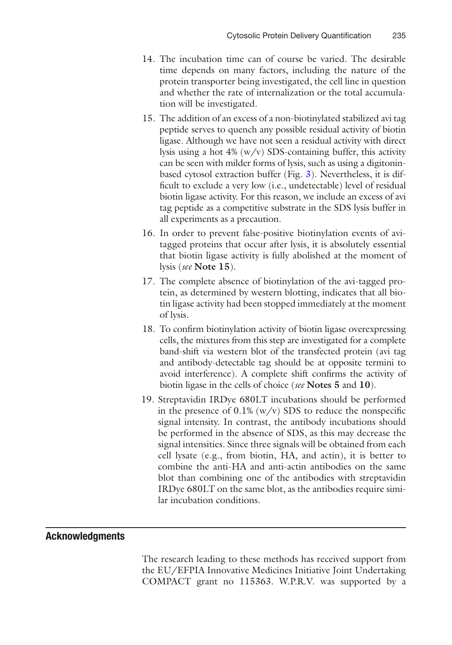- 14. The incubation time can of course be varied. The desirable time depends on many factors, including the nature of the protein transporter being investigated, the cell line in question and whether the rate of internalization or the total accumulation will be investigated.
- 15. The addition of an excess of a non-biotinylated stabilized avi tag peptide serves to quench any possible residual activity of biotin ligase. Although we have not seen a residual activity with direct lysis using a hot 4% (w/v) SDS-containing buffer, this activity can be seen with milder forms of lysis, such as using a digitoninbased cytosol extraction buffer (Fig. [3](#page-7-0)). Nevertheless, it is difficult to exclude a very low (i.e., undetectable) level of residual biotin ligase activity. For this reason, we include an excess of avi tag peptide as a competitive substrate in the SDS lysis buffer in all experiments as a precaution.
- 16. In order to prevent false-positive biotinylation events of avitagged proteins that occur after lysis, it is absolutely essential that biotin ligase activity is fully abolished at the moment of lysis (*see* **Note 15**).
- 17. The complete absence of biotinylation of the avi-tagged protein, as determined by western blotting, indicates that all biotin ligase activity had been stopped immediately at the moment of lysis.
- 18. To confirm biotinylation activity of biotin ligase overexpressing cells, the mixtures from this step are investigated for a complete band-shift via western blot of the transfected protein (avi tag and antibody-detectable tag should be at opposite termini to avoid interference). A complete shift confirms the activity of biotin ligase in the cells of choice (*see* **Notes 5** and **10**).
- 19. Streptavidin IRDye 680LT incubations should be performed in the presence of  $0.1\%$  (w/v) SDS to reduce the nonspecific signal intensity. In contrast, the antibody incubations should be performed in the absence of SDS, as this may decrease the signal intensities. Since three signals will be obtained from each cell lysate (e.g., from biotin, HA, and actin), it is better to combine the anti-HA and anti-actin antibodies on the same blot than combining one of the antibodies with streptavidin IRDye 680LT on the same blot, as the antibodies require similar incubation conditions.

#### **Acknowledgments**

The research leading to these methods has received support from the EU/EFPIA Innovative Medicines Initiative Joint Undertaking COMPACT grant no 115363. W.P.R.V. was supported by a